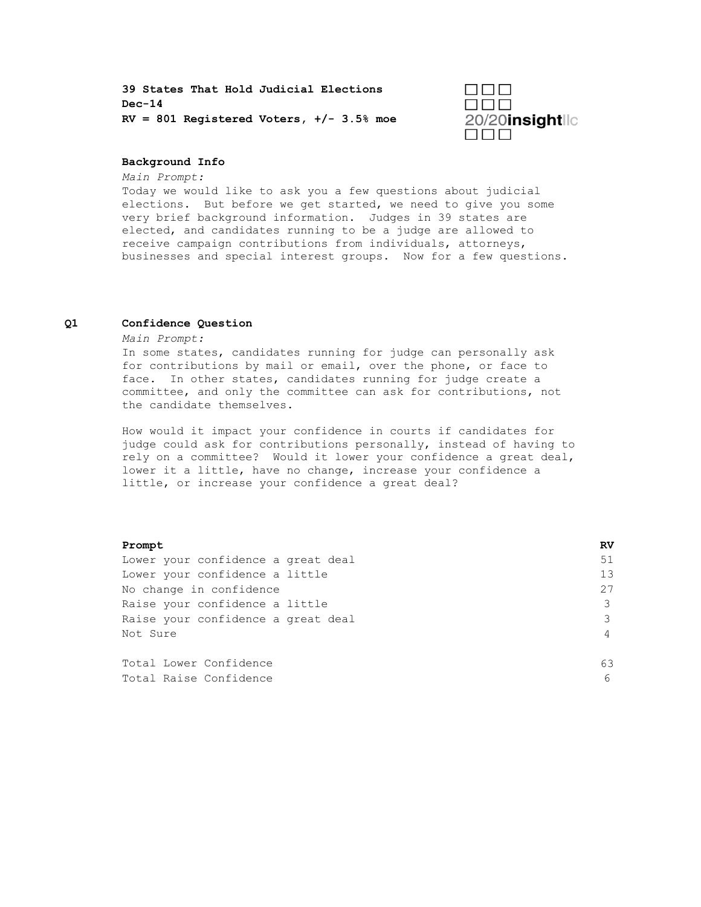**39 States That Hold Judicial Elections Dec-14 RV = 801 Registered Voters, +/- 3.5% moe**



### **Background Info**

*Main Prompt:*

Today we would like to ask you a few questions about judicial elections. But before we get started, we need to give you some very brief background information. Judges in 39 states are elected, and candidates running to be a judge are allowed to receive campaign contributions from individuals, attorneys, businesses and special interest groups. Now for a few questions.

### **Q1 Confidence Question**

*Main Prompt:*

In some states, candidates running for judge can personally ask for contributions by mail or email, over the phone, or face to face. In other states, candidates running for judge create a committee, and only the committee can ask for contributions, not the candidate themselves.

How would it impact your confidence in courts if candidates for judge could ask for contributions personally, instead of having to rely on a committee? Would it lower your confidence a great deal, lower it a little, have no change, increase your confidence a little, or increase your confidence a great deal?

| Prompt                             | RV             |
|------------------------------------|----------------|
| Lower your confidence a great deal | 51             |
| Lower your confidence a little     | 13             |
| No change in confidence            | 27             |
| Raise your confidence a little     | 3              |
| Raise your confidence a great deal | 3              |
| Not Sure                           | $\overline{4}$ |
|                                    |                |
| Total Lower Confidence             | 63             |
| Total Raise Confidence             | 6              |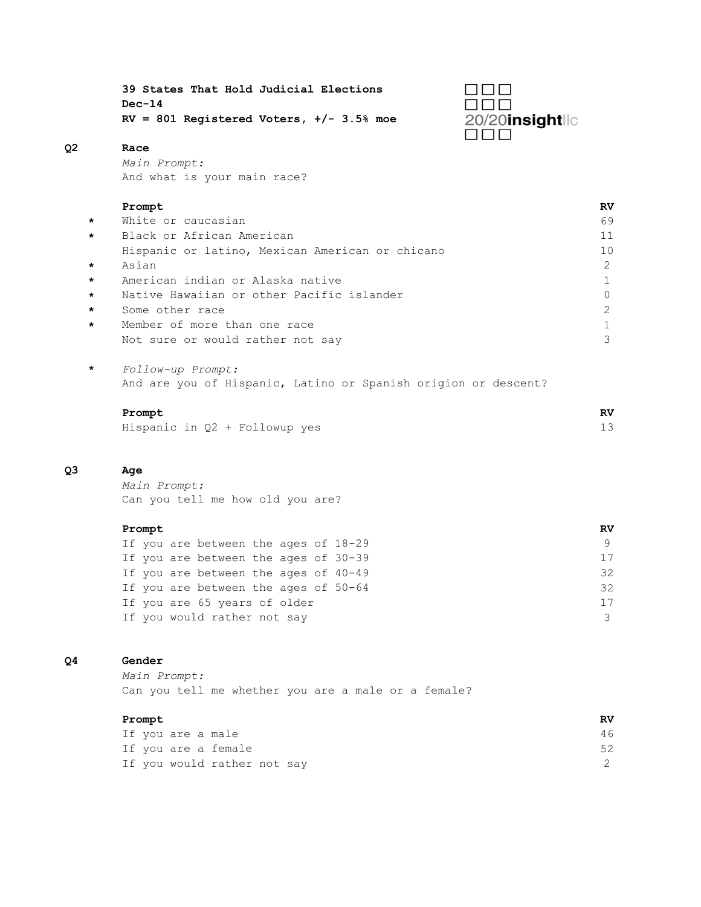**39 States That Hold Judicial Elections Dec-14 RV = 801 Registered Voters, +/- 3.5% moe**



# **Q2 Race**

*Main Prompt:* And what is your main race?

#### **Prompt RV**

| $\star$ | White or caucasian                              | 69 |
|---------|-------------------------------------------------|----|
| $\star$ | Black or African American                       | 11 |
|         | Hispanic or latino, Mexican American or chicano | 10 |
| $\star$ | Asian                                           | 2  |
| $\star$ | American indian or Alaska native                |    |
| $\star$ | Native Hawaiian or other Pacific islander       |    |
| $\star$ | Some other race                                 |    |
| $\star$ | Member of more than one race                    |    |
|         | Not sure or would rather not say                |    |

**\*** *Follow-up Prompt:*  And are you of Hispanic, Latino or Spanish origion or descent?

#### **Prompt RV**

|  |  |  |  |  | Hispanic in Q2 + Followup yes |  |  |  |  |
|--|--|--|--|--|-------------------------------|--|--|--|--|
|--|--|--|--|--|-------------------------------|--|--|--|--|

## **Q3 Age**

*Main Prompt:* Can you tell me how old you are?

#### **Prompt RV**

|  | If you are between the ages of 18-29 |  |  | 9  |
|--|--------------------------------------|--|--|----|
|  | If you are between the ages of 30-39 |  |  | 17 |
|  | If you are between the ages of 40-49 |  |  | 32 |
|  | If you are between the ages of 50-64 |  |  | 32 |
|  | If you are 65 years of older         |  |  | 17 |
|  | If you would rather not say          |  |  | 3  |

## **Q4 Gender**

*Main Prompt:* Can you tell me whether you are a male or a female?

### **Prompt RV**

|  | If you are a male           |  | 46 |  |
|--|-----------------------------|--|----|--|
|  | If you are a female         |  |    |  |
|  | If you would rather not say |  |    |  |